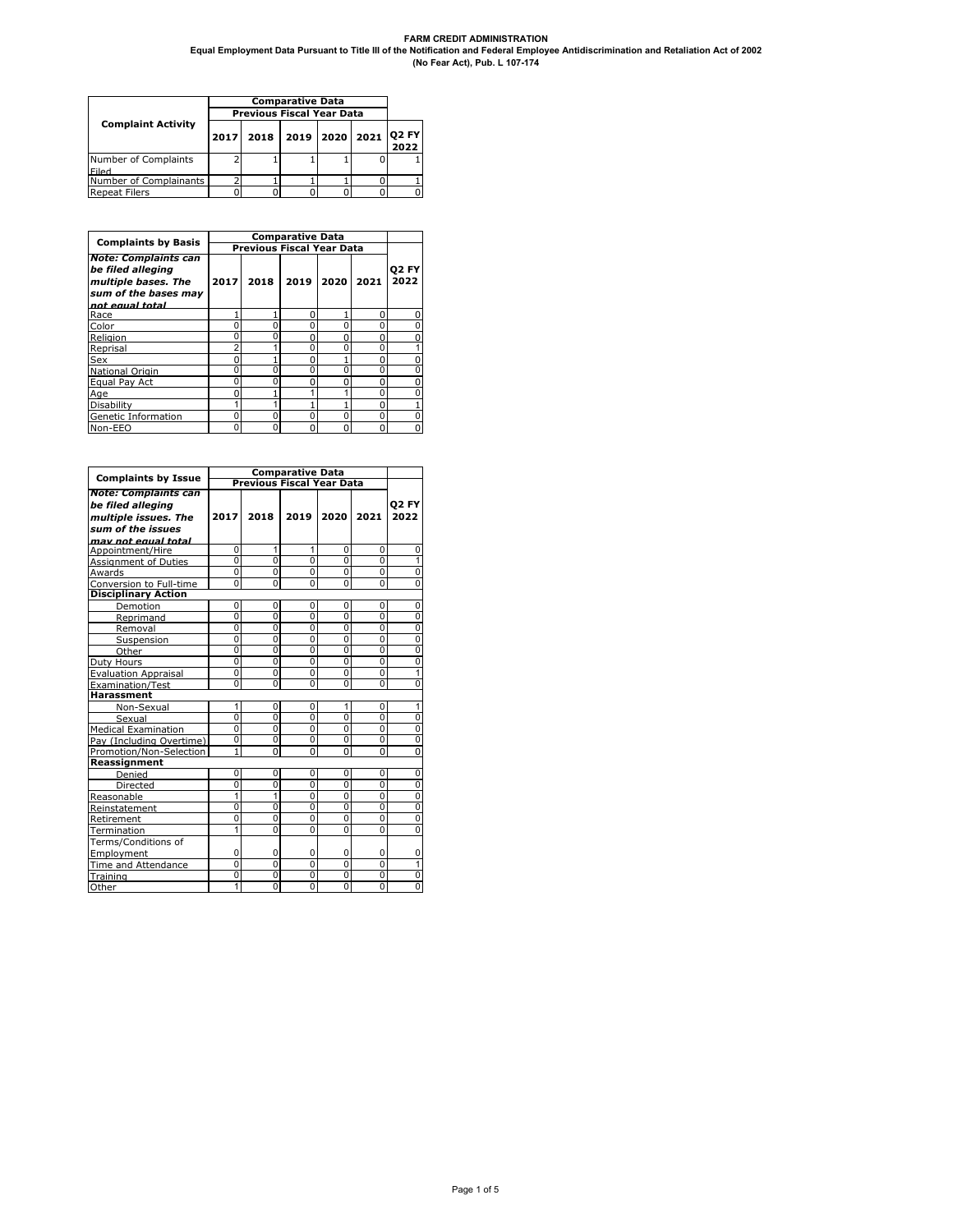|                               | <b>Previous Fiscal Year Data</b> |      |                |  |                           |
|-------------------------------|----------------------------------|------|----------------|--|---------------------------|
| <b>Complaint Activity</b>     | 2017                             | 2018 | 2019 2020 2021 |  | Q <sub>2</sub> FY<br>2022 |
| Number of Complaints<br>Filed |                                  |      |                |  |                           |
| Number of Complainants        |                                  |      |                |  |                           |
| <b>Repeat Filers</b>          |                                  |      |                |  |                           |

|                                                                                                                    |          |                                  | <b>Comparative Data</b> |          |      |                      |
|--------------------------------------------------------------------------------------------------------------------|----------|----------------------------------|-------------------------|----------|------|----------------------|
| <b>Complaints by Basis</b>                                                                                         |          | <b>Previous Fiscal Year Data</b> |                         |          |      |                      |
| <b>Note: Complaints can</b><br>be filed alleging<br>multiple bases. The<br>sum of the bases may<br>not equal total | 2017     | 2018                             | 2019                    | 2020     | 2021 | <b>Q2 FY</b><br>2022 |
| Race                                                                                                               |          |                                  | 0                       |          | n    | 0                    |
| Color                                                                                                              | ŋ        | 0                                | $\Omega$                |          |      | 0                    |
| Religion                                                                                                           | ŋ        | 0                                | 0                       | ŋ        | ŋ    | n                    |
| Reprisal                                                                                                           | 2        |                                  | $\Omega$                | n        | Ω    |                      |
| Sex                                                                                                                | n        |                                  | O                       |          | n    |                      |
| National Origin                                                                                                    | O        | 0                                | 0                       | n        |      | 0                    |
| Equal Pay Act                                                                                                      | O        | 0                                | O                       |          | n    | 0                    |
| Age                                                                                                                | ŋ        |                                  | 4                       |          |      | 0                    |
| Disability                                                                                                         |          |                                  |                         |          | ŋ    |                      |
| Genetic Information                                                                                                | $\Omega$ | 0                                | $\Omega$                | $\Omega$ | ი    | 0                    |
| Non-EEO                                                                                                            |          | O                                | n                       |          |      | 0                    |

|                             | <b>Comparative Data</b> |                                  |                |                |                |                |  |  |  |
|-----------------------------|-------------------------|----------------------------------|----------------|----------------|----------------|----------------|--|--|--|
| <b>Complaints by Issue</b>  |                         | <b>Previous Fiscal Year Data</b> |                |                |                |                |  |  |  |
| <b>Note: Complaints can</b> |                         |                                  |                |                |                |                |  |  |  |
| be filed alleging           |                         |                                  |                |                |                | <b>02 FY</b>   |  |  |  |
| multiple issues. The        | 2017                    | 2018                             | 2019           | 2020           | 2021           | 2022           |  |  |  |
| sum of the issues           |                         |                                  |                |                |                |                |  |  |  |
| may not equal total         |                         |                                  |                |                |                |                |  |  |  |
| Appointment/Hire            | 0                       | 1                                | 1              | 0              | 0              | 0              |  |  |  |
| Assignment of Duties        | O                       | $\overline{0}$                   | $\Omega$       | $\Omega$       | O              | 1              |  |  |  |
| Awards                      | 0                       | 0                                | $\Omega$       | 0              | 0              | 0              |  |  |  |
| Conversion to Full-time     | O                       | $\Omega$                         | $\Omega$       | $\Omega$       | O              | $\overline{0}$ |  |  |  |
| <b>Disciplinary Action</b>  |                         |                                  |                |                |                |                |  |  |  |
| Demotion                    | 0                       | 0                                | 0              | 0              | 0              | 0              |  |  |  |
| Reprimand                   | $\Omega$                | $\Omega$                         | $\Omega$       | $\Omega$       | $\Omega$       | Ō              |  |  |  |
| Removal                     | $\Omega$                | $\Omega$                         | $\Omega$       | $\Omega$       | 0              | $\overline{0}$ |  |  |  |
| Suspension                  | $\Omega$                | $\Omega$                         | $\Omega$       | $\Omega$       | $\Omega$       | $\overline{0}$ |  |  |  |
| Other                       | $\Omega$                | $\Omega$                         | $\Omega$       | $\Omega$       | $\Omega$       | 0              |  |  |  |
| Duty Hours                  | $\Omega$                | $\Omega$                         | $\Omega$       | $\Omega$       | $\Omega$       | $\overline{0}$ |  |  |  |
| <b>Evaluation Appraisal</b> | $\Omega$                | $\Omega$                         | 0              | $\Omega$       | $\Omega$       | 1              |  |  |  |
| <b>Examination/Test</b>     | 0                       | $\Omega$                         | $\Omega$       | $\Omega$       | 0              | $\overline{0}$ |  |  |  |
| <b>Harassment</b>           |                         |                                  |                |                |                |                |  |  |  |
| Non-Sexual                  | 1                       | 0                                | 0              | 1              | 0              | 1              |  |  |  |
| Sexual                      | $\overline{0}$          | $\overline{0}$                   | 0              | 0              | $\overline{0}$ | 0              |  |  |  |
| <b>Medical Examination</b>  | $\Omega$                | 0                                | 0              | 0              | $\Omega$       | 0              |  |  |  |
| Pav (Including Overtime)    | $\Omega$                | $\Omega$                         | $\Omega$       | $\Omega$       | $\Omega$       | 0              |  |  |  |
| Promotion/Non-Selection     | $\mathbf{1}$            | $\Omega$                         | $\Omega$       | O              | $\Omega$       | $\Omega$       |  |  |  |
| Reassignment                |                         |                                  |                |                |                |                |  |  |  |
| Denied                      | 0                       | 0                                | 0              | 0              | 0              | 0              |  |  |  |
| Directed                    | $\Omega$                | $\overline{0}$                   | $\Omega$       | $\Omega$       | $\Omega$       | $\overline{0}$ |  |  |  |
| Reasonable                  | 1                       | 1                                | $\Omega$       | $\Omega$       | $\Omega$       | $\overline{0}$ |  |  |  |
| Reinstatement               | $\Omega$                | $\Omega$                         | $\Omega$       | $\Omega$       | $\Omega$       | $\overline{0}$ |  |  |  |
| Retirement                  | O                       | $\Omega$                         | $\Omega$       | $\Omega$       | $\Omega$       | $\overline{0}$ |  |  |  |
| Termination                 | 1                       | $\overline{0}$                   | $\overline{0}$ | $\overline{0}$ | $\overline{0}$ | $\overline{0}$ |  |  |  |
| Terms/Conditions of         |                         |                                  |                |                |                |                |  |  |  |
| Employment                  | 0                       | 0                                | 0              | 0              | 0              | 0              |  |  |  |
| Time and Attendance         | $\Omega$                | $\Omega$                         | $\Omega$       | $\Omega$       | O              | 1              |  |  |  |
| Training                    | O                       | $\Omega$                         | $\Omega$       | $\Omega$       | $\Omega$       | $\overline{0}$ |  |  |  |
| Other                       | 1                       | $\overline{0}$                   | $\overline{0}$ | $\overline{0}$ | $\overline{0}$ | $\overline{0}$ |  |  |  |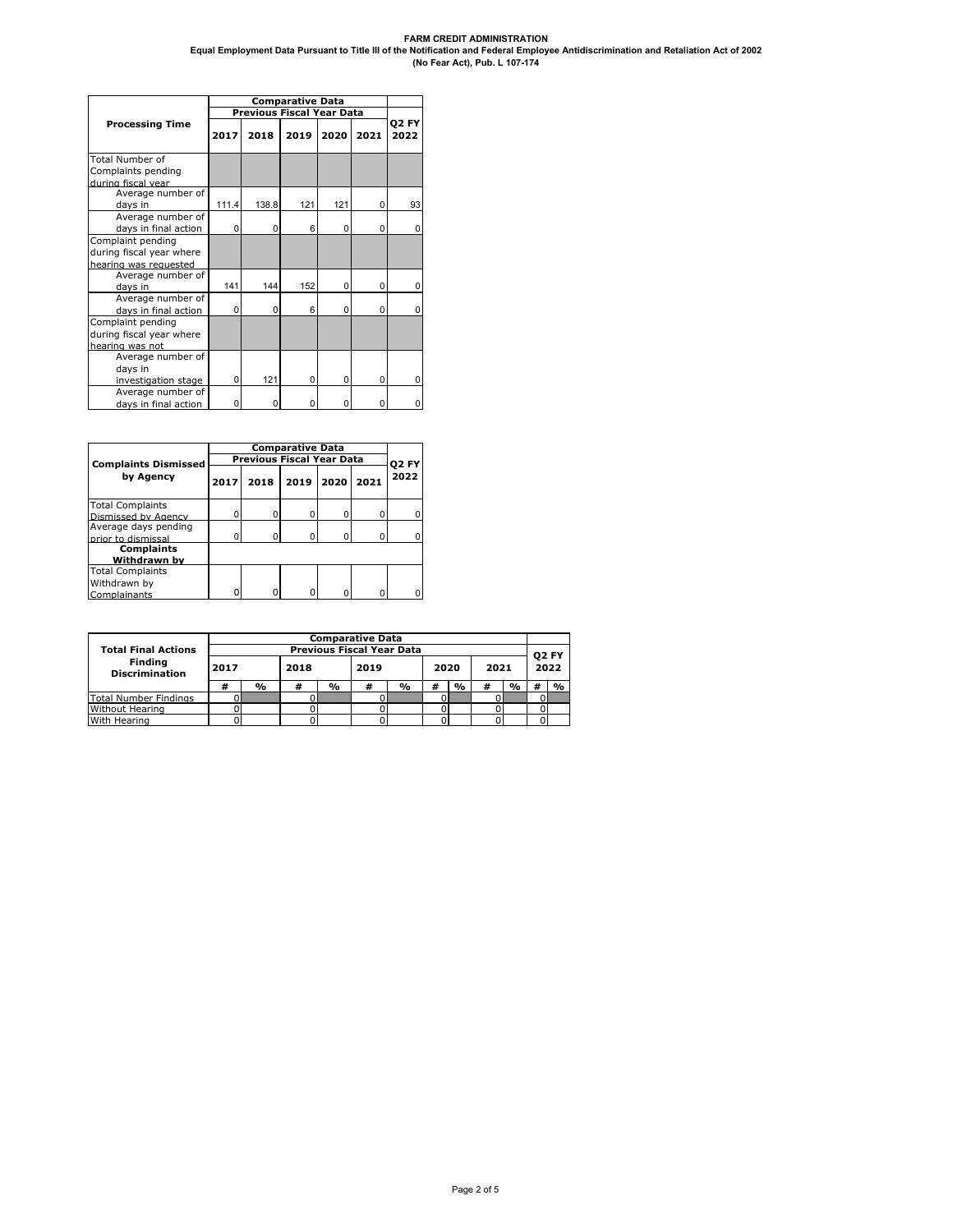|                          | <b>Comparative Data</b> |                                  |      |      |          |                      |  |  |  |
|--------------------------|-------------------------|----------------------------------|------|------|----------|----------------------|--|--|--|
|                          |                         | <b>Previous Fiscal Year Data</b> |      |      |          |                      |  |  |  |
| <b>Processing Time</b>   | 2017                    | 2018                             | 2019 | 2020 | 2021     | <b>Q2 FY</b><br>2022 |  |  |  |
| <b>Total Number of</b>   |                         |                                  |      |      |          |                      |  |  |  |
| Complaints pending       |                         |                                  |      |      |          |                      |  |  |  |
| during fiscal vear       |                         |                                  |      |      |          |                      |  |  |  |
| Average number of        |                         |                                  |      |      |          |                      |  |  |  |
| days in                  | 111.4                   | 138.8                            | 121  | 121  | $\Omega$ | 93                   |  |  |  |
| Average number of        |                         |                                  |      |      |          |                      |  |  |  |
| days in final action     | $\Omega$                | $\Omega$                         | 6    | 0    | $\Omega$ |                      |  |  |  |
| Complaint pending        |                         |                                  |      |      |          |                      |  |  |  |
| during fiscal year where |                         |                                  |      |      |          |                      |  |  |  |
| hearing was requested    |                         |                                  |      |      |          |                      |  |  |  |
| Average number of        |                         |                                  |      |      |          |                      |  |  |  |
| days in                  | 141                     | 144                              | 152  | 0    | $\Omega$ |                      |  |  |  |
| Average number of        |                         |                                  |      |      |          |                      |  |  |  |
| days in final action     | 0                       | 0                                | 6    | 0    | 0        |                      |  |  |  |
| Complaint pending        |                         |                                  |      |      |          |                      |  |  |  |
| during fiscal year where |                         |                                  |      |      |          |                      |  |  |  |
| hearing was not          |                         |                                  |      |      |          |                      |  |  |  |
| Average number of        |                         |                                  |      |      |          |                      |  |  |  |
| days in                  |                         |                                  |      |      |          |                      |  |  |  |
| investigation stage      | 0                       | 121                              | 0    | 0    | 0        |                      |  |  |  |
| Average number of        |                         |                                  |      |      |          |                      |  |  |  |
| days in final action     |                         |                                  | ŋ    | ŋ    | ŋ        |                      |  |  |  |

| <b>Complaints Dismissed</b> |      | <b>Comparative Data</b><br><b>Previous Fiscal Year Data</b> |      |      |      |                      |  |  |  |  |
|-----------------------------|------|-------------------------------------------------------------|------|------|------|----------------------|--|--|--|--|
| by Agency                   | 2017 | 2018                                                        | 2019 | 2020 | 2021 | <b>Q2 FY</b><br>2022 |  |  |  |  |
| <b>Total Complaints</b>     |      |                                                             |      |      |      |                      |  |  |  |  |
| Dismissed by Agency         | ŋ    |                                                             | 0    |      |      |                      |  |  |  |  |
| Average days pending        |      |                                                             |      |      |      |                      |  |  |  |  |
| prior to dismissal          |      |                                                             |      |      |      |                      |  |  |  |  |
| <b>Complaints</b>           |      |                                                             |      |      |      |                      |  |  |  |  |
| <b>Withdrawn by</b>         |      |                                                             |      |      |      |                      |  |  |  |  |
| <b>Total Complaints</b>     |      |                                                             |      |      |      |                      |  |  |  |  |
| Withdrawn by                |      |                                                             |      |      |      |                      |  |  |  |  |
| Complainants                |      |                                                             |      |      |      |                      |  |  |  |  |

|                                         | <b>Comparative Data</b> |                                  |      |               |      |               |      |               |      |               |   |               |
|-----------------------------------------|-------------------------|----------------------------------|------|---------------|------|---------------|------|---------------|------|---------------|---|---------------|
| <b>Total Final Actions</b>              |                         | <b>Previous Fiscal Year Data</b> |      |               |      |               |      |               |      |               |   | <b>Q2 FY</b>  |
| <b>Finding</b><br><b>Discrimination</b> | 2017                    |                                  | 2018 |               | 2019 |               | 2020 |               | 2021 |               |   | 2022          |
|                                         |                         | %                                | #    | $\frac{1}{2}$ | #    | $\frac{9}{6}$ | #    | $\frac{1}{2}$ | #    | $\frac{0}{0}$ | # | $\frac{0}{0}$ |
| <b>Total Number Findings</b>            |                         |                                  |      |               |      |               |      |               |      |               |   |               |
| <b>Without Hearing</b>                  |                         |                                  |      |               |      |               |      |               |      |               |   |               |
| With Hearing                            |                         |                                  |      |               |      |               |      |               |      |               |   |               |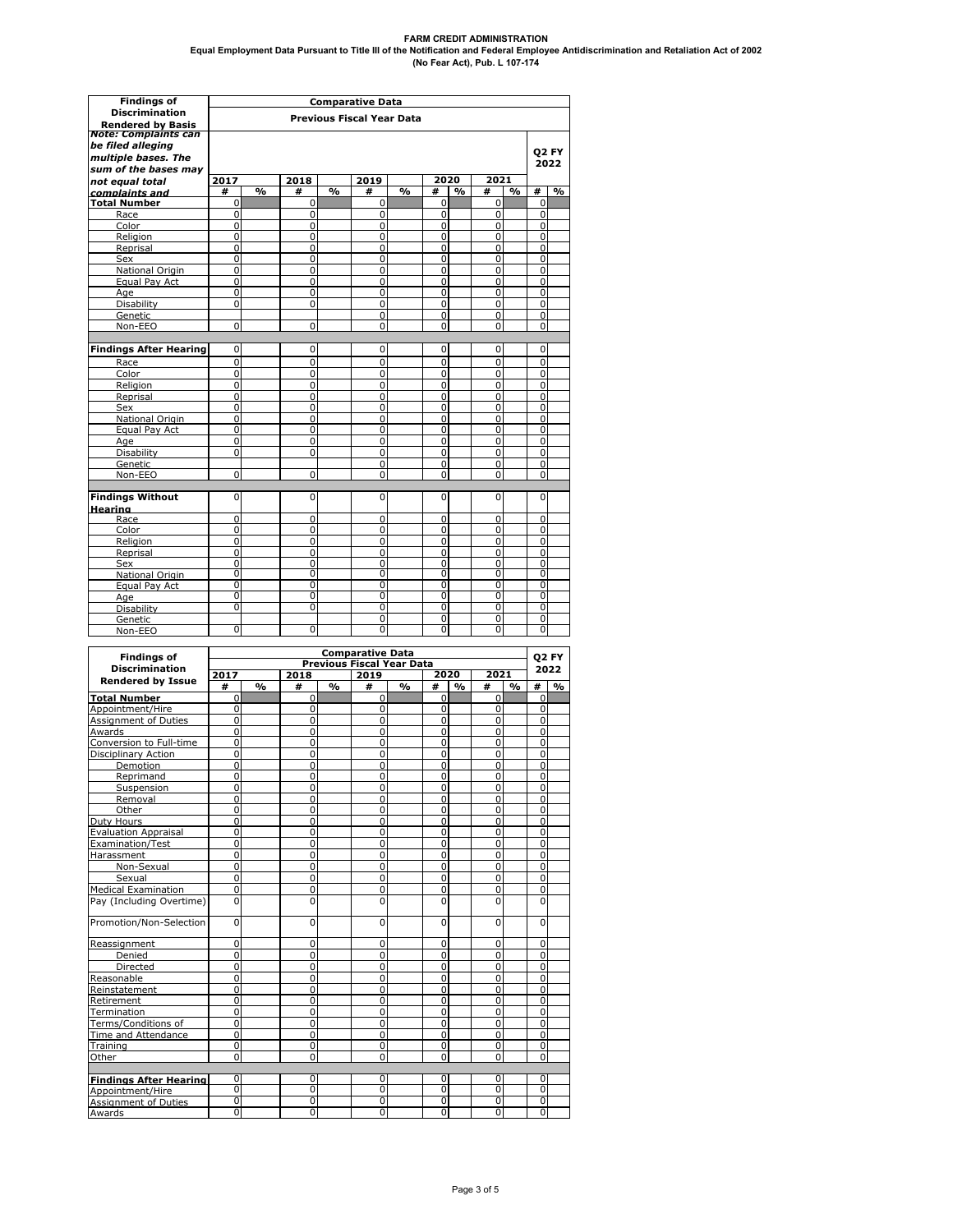| <b>Findings of</b>            | <b>Comparative Data</b> |                         |                |                         |                                  |                         |                      |                         |                |                         |                      |              |
|-------------------------------|-------------------------|-------------------------|----------------|-------------------------|----------------------------------|-------------------------|----------------------|-------------------------|----------------|-------------------------|----------------------|--------------|
| <b>Discrimination</b>         |                         |                         |                |                         | <b>Previous Fiscal Year Data</b> |                         |                      |                         |                |                         |                      |              |
| <b>Rendered by Basis</b>      |                         |                         |                |                         |                                  |                         |                      |                         |                |                         |                      |              |
| <b>Note: Complaints can</b>   |                         |                         |                |                         |                                  |                         |                      |                         |                |                         |                      |              |
| be filed alleging             |                         |                         |                |                         |                                  |                         |                      |                         |                |                         |                      | <b>Q2 FY</b> |
| multiple bases. The           |                         |                         |                |                         |                                  |                         |                      |                         |                |                         |                      | 2022         |
| sum of the bases may          |                         |                         |                |                         |                                  |                         |                      |                         |                |                         |                      |              |
| not equal total               | 2017                    |                         | 2018           |                         | 2019                             |                         | 2020                 |                         | 2021           |                         |                      |              |
| complaints and                | #                       | $\mathbf{O}/\mathbf{O}$ | #              | $\mathbf{O}/\mathbf{O}$ | #                                | $\mathbf{O}/\mathbf{O}$ | #                    | $\mathbf{O}/\mathbf{O}$ | #              | $\mathbf{O}/\mathbf{O}$ | #                    | %            |
| <b>Total Number</b>           | $\Omega$                |                         | $\Omega$       |                         | $\Omega$                         |                         | 0                    |                         | $\Omega$       |                         | $\Omega$             |              |
| Race                          | 0                       |                         | $\Omega$       |                         | $\Omega$                         |                         | $\Omega$             |                         | $\Omega$       |                         | $\Omega$             |              |
| Color                         | $\Omega$                |                         | $\Omega$       |                         | $\Omega$                         |                         | $\Omega$             |                         | $\Omega$       |                         | $\Omega$             |              |
| Religion                      | $\Omega$                |                         | $\Omega$       |                         | 0                                |                         | $\Omega$             |                         | 0              |                         | $\Omega$             |              |
| Reprisal                      | $\mathbf 0$             |                         | $\mathbf 0$    |                         | $\mathbf 0$                      |                         | $\mathbf 0$          |                         | $\mathbf 0$    |                         | $\mathbf 0$          |              |
| Sex                           | $\Omega$                |                         | $\Omega$       |                         | $\Omega$                         |                         | $\Omega$             |                         | $\Omega$       |                         | $\Omega$             |              |
| National Origin               | 0                       |                         | $\mathbf 0$    |                         | $\Omega$                         |                         | $\Omega$             |                         | $\Omega$       |                         | $\Omega$             |              |
| Equal Pay Act                 | 0                       |                         | 0              |                         | $\mathbf 0$                      |                         | 0                    |                         | 0              |                         | 0                    |              |
| Age                           | $\mathbf 0$             |                         | $\overline{0}$ |                         | $\overline{0}$                   |                         | $\mathbf 0$          |                         | $\overline{0}$ |                         | $\mathbf 0$          |              |
| Disability                    | $\Omega$                |                         | $\Omega$       |                         | $\Omega$                         |                         | $\Omega$             |                         | $\Omega$       |                         | $\Omega$             |              |
| Genetic                       |                         |                         |                |                         | $\Omega$                         |                         | $\Omega$             |                         | $\Omega$       |                         | $\Omega$             |              |
| Non-EEO                       | $\Omega$                |                         | 0              |                         | 0                                |                         | $\Omega$             |                         | $\Omega$       |                         | $\Omega$             |              |
|                               |                         |                         |                |                         |                                  |                         |                      |                         |                |                         |                      |              |
| <b>Findings After Hearing</b> | 0                       |                         | 0              |                         | 0                                |                         | 0                    |                         | $\Omega$       |                         | $\Omega$             |              |
| Race                          | $\Omega$                |                         | $\Omega$       |                         | $\Omega$                         |                         | $\Omega$             |                         | $\Omega$       |                         | $\Omega$             |              |
| Color                         | $\mathbf 0$             |                         | 0              |                         | $\Omega$                         |                         | $\Omega$             |                         | $\Omega$       |                         | $\Omega$             |              |
| Religion                      | 0                       |                         | 0              |                         | 0                                |                         | 0                    |                         | $\Omega$       |                         | $\Omega$             |              |
| Reprisal                      | $\Omega$                |                         | 0              |                         | $\Omega$                         |                         | $\Omega$             |                         | $\Omega$       |                         | $\Omega$             |              |
| Sex                           | 0                       |                         | 0              |                         | $\overline{0}$                   |                         | 0                    |                         | $\overline{0}$ |                         | $\Omega$             |              |
| National Origin               | 0                       |                         | $\overline{0}$ |                         | 0                                |                         | $\mathbf 0$          |                         | $\overline{0}$ |                         | 0                    |              |
| Equal Pay Act                 | $\Omega$                |                         | $\Omega$       |                         | $\Omega$                         |                         | $\Omega$             |                         | $\Omega$       |                         | $\Omega$             |              |
| Age                           | $\Omega$                |                         | $\Omega$       |                         | 0                                |                         | $\Omega$             |                         | $\Omega$       |                         | $\Omega$             |              |
| Disability                    | $\Omega$                |                         | 0              |                         | 0                                |                         | $\Omega$             |                         | 0              |                         | $\Omega$             |              |
| Genetic                       |                         |                         |                |                         | $\Omega$                         |                         | 0                    |                         | $\Omega$       |                         | $\Omega$             |              |
| Non-EEO                       | $\Omega$                |                         | $\Omega$       |                         | $\overline{0}$                   |                         | 0                    |                         | $\Omega$       |                         | $\Omega$             |              |
|                               |                         |                         |                |                         |                                  |                         |                      |                         |                |                         |                      |              |
| <b>Findings Without</b>       | 0                       |                         | 0              |                         | 0                                |                         | 0                    |                         | 0              |                         | 0                    |              |
| Hearing                       |                         |                         |                |                         |                                  |                         |                      |                         |                |                         |                      |              |
| Race                          | $\Omega$                |                         | 0              |                         | $\Omega$                         |                         | $\Omega$             |                         | $\Omega$       |                         | $\Omega$             |              |
| Color                         | 0                       |                         | 0              |                         | 0                                |                         | 0                    |                         | 0              |                         | 0                    |              |
| Religion                      | $\mathbf 0$             |                         | $\overline{0}$ |                         | $\overline{0}$                   |                         | $\Omega$             |                         | $\Omega$       |                         | $\mathbf 0$          |              |
| Reprisal                      | $\Omega$                |                         | $\Omega$       |                         | $\overline{0}$                   |                         | $\Omega$             |                         | $\Omega$       |                         | $\Omega$             |              |
| Sex                           | $\Omega$<br>0           |                         | $\Omega$<br>0  |                         | $\Omega$<br>0                    |                         | $\Omega$<br>$\Omega$ |                         | $\Omega$<br>0  |                         | $\Omega$<br>$\Omega$ |              |
| National Origin               | $\overline{0}$          |                         | $\overline{0}$ |                         | $\overline{0}$                   |                         | $\overline{0}$       |                         | $\overline{0}$ |                         | $\overline{0}$       |              |
| Equal Pay Act                 | $\overline{0}$          |                         | 0              |                         | $\overline{0}$                   |                         | $\overline{0}$       |                         | $\overline{0}$ |                         | $\overline{0}$       |              |
| Aae                           | 0                       |                         | $\overline{0}$ |                         | $\overline{0}$                   |                         | $\overline{0}$       |                         | 0              |                         | $\overline{0}$       |              |
| Disability                    |                         |                         |                |                         | $\overline{0}$                   |                         | $\overline{0}$       |                         | $\overline{0}$ |                         | $\overline{0}$       |              |
| Genetic                       | $\Omega$                |                         | 0              |                         | $\overline{0}$                   |                         | $\overline{0}$       |                         | $\overline{0}$ |                         | $\overline{0}$       |              |
| Non-EEO                       |                         |                         |                |                         |                                  |                         |                      |                         |                |                         |                      |              |

| <b>Findings of</b>            | <b>Comparative Data</b><br><b>Previous Fiscal Year Data</b> |               |                |               |                |               |                |               |             |               | <b>Q2 FY</b>   |      |
|-------------------------------|-------------------------------------------------------------|---------------|----------------|---------------|----------------|---------------|----------------|---------------|-------------|---------------|----------------|------|
| <b>Discrimination</b>         |                                                             |               |                |               |                |               |                |               |             |               | 2022           |      |
| <b>Rendered by Issue</b>      | 2017                                                        |               | 2018           |               | 2019           |               | 2020           |               | 2021        |               |                |      |
|                               | #                                                           | $\frac{0}{0}$ | #              | $\frac{0}{0}$ | #              | $\frac{0}{0}$ | #              | $\frac{0}{0}$ | #           | $\frac{9}{6}$ | #              | $\%$ |
| <b>Total Number</b>           | $\Omega$                                                    |               | $\Omega$       |               | $\Omega$       |               | $\Omega$       |               | $\Omega$    |               | $\Omega$       |      |
| Appointment/Hire              | 0                                                           |               | $\Omega$       |               | $\Omega$       |               | $\Omega$       |               | $\Omega$    |               | $\Omega$       |      |
| Assignment of Duties          | 0                                                           |               | $\Omega$       |               | $\Omega$       |               | $\Omega$       |               | $\Omega$    |               | $\Omega$       |      |
| Awards                        | $\Omega$                                                    |               | $\Omega$       |               | $\Omega$       |               | $\Omega$       |               | $\Omega$    |               | $\Omega$       |      |
| Conversion to Full-time       | $\Omega$                                                    |               | $\Omega$       |               | 0              |               | $\Omega$       |               | 0           |               | $\Omega$       |      |
| Disciplinary Action           | $\Omega$                                                    |               | $\mathbf 0$    |               | 0              |               | $\Omega$       |               | 0           |               | $\mathbf 0$    |      |
| Demotion                      | 0                                                           |               | $\Omega$       |               | $\Omega$       |               | $\Omega$       |               | $\Omega$    |               | $\Omega$       |      |
| Reprimand                     | 0                                                           |               | $\Omega$       |               | $\Omega$       |               | $\Omega$       |               | $\Omega$    |               | $\Omega$       |      |
| Suspension                    | O                                                           |               | $\Omega$       |               | $\Omega$       |               | $\Omega$       |               | $\mathbf 0$ |               | $\Omega$       |      |
| Removal                       | $\Omega$                                                    |               | $\Omega$       |               | 0              |               | $\Omega$       |               | $\Omega$    |               | $\Omega$       |      |
| Other                         | 0                                                           |               | 0              |               | $\Omega$       |               | $\Omega$       |               | 0           |               | $\Omega$       |      |
| Duty Hours                    | 0                                                           |               | $\Omega$       |               | 0              |               | $\Omega$       |               | 0           |               | 0              |      |
| <b>Evaluation Appraisal</b>   | $\Omega$                                                    |               | 0              |               | 0              |               | $\Omega$       |               | $\Omega$    |               | $\Omega$       |      |
| Examination/Test              | $\Omega$                                                    |               | $\Omega$       |               | 0              |               | $\overline{0}$ |               | $\Omega$    |               | $\overline{0}$ |      |
| Harassment                    | 0                                                           |               | $\Omega$       |               | 0              |               | $\Omega$       |               | $\Omega$    |               | $\Omega$       |      |
| Non-Sexual                    | $\mathbf 0$                                                 |               | $\mathbf 0$    |               | $\mathbf 0$    |               | $\Omega$       |               | 0           |               | $\mathbf 0$    |      |
| Sexual                        | $\Omega$                                                    |               | $\Omega$       |               | $\Omega$       |               | $\Omega$       |               | $\Omega$    |               | 0              |      |
| <b>Medical Examination</b>    | 0                                                           |               | $\Omega$       |               | 0              |               | $\Omega$       |               | 0           |               | 0              |      |
| Pay (Including Overtime)      | $\Omega$                                                    |               | $\Omega$       |               | $\Omega$       |               | $\Omega$       |               | $\Omega$    |               | $\Omega$       |      |
| Promotion/Non-Selection       | $\Omega$                                                    |               | $\Omega$       |               | $\Omega$       |               | $\Omega$       |               | $\Omega$    |               | $\Omega$       |      |
| Reassignment                  | 0                                                           |               | 0              |               | 0              |               | 0              |               | 0           |               | $\mathbf 0$    |      |
| Denied                        | 0                                                           |               | $\Omega$       |               | 0              |               | $\Omega$       |               | $\Omega$    |               | $\Omega$       |      |
| Directed                      | 0                                                           |               | $\overline{0}$ |               | 0              |               | $\overline{0}$ |               | 0           |               | $\mathbf 0$    |      |
| Reasonable                    | 0                                                           |               | $\Omega$       |               | $\Omega$       |               | $\Omega$       |               | 0           |               | 0              |      |
| Reinstatement                 | 0                                                           |               | 0              |               | 0              |               | 0              |               | 0           |               | $\mathbf 0$    |      |
| Retirement                    | $\Omega$                                                    |               | $\Omega$       |               | $\Omega$       |               | $\Omega$       |               | $\Omega$    |               | $\Omega$       |      |
| Termination                   | 0                                                           |               | $\mathbf 0$    |               | 0              |               | $\Omega$       |               | 0           |               | $\Omega$       |      |
| Terms/Conditions of           | $\Omega$                                                    |               | $\Omega$       |               | $\Omega$       |               | $\Omega$       |               | $\Omega$    |               | $\Omega$       |      |
| Time and Attendance           | 0                                                           |               | $\Omega$       |               | $\Omega$       |               | $\Omega$       |               | $\Omega$    |               | 0              |      |
| Training                      | 0                                                           |               | $\mathbf 0$    |               | 0              |               | 0              |               | 0           |               | $\mathbf 0$    |      |
| Other                         | O                                                           |               | $\Omega$       |               | O              |               | O              |               | $\Omega$    |               | $\Omega$       |      |
|                               |                                                             |               |                |               |                |               |                |               |             |               |                |      |
| <b>Findings After Hearing</b> | 0                                                           |               | 0              |               | 0              |               | 0              |               | 0           |               | 0              |      |
| Appointment/Hire              | 0                                                           |               | $\overline{0}$ |               | $\overline{0}$ |               | $\overline{0}$ |               | 0           |               | $\overline{0}$ |      |
| <b>Assignment of Duties</b>   | 0                                                           |               | 0              |               | 0              |               | $\overline{0}$ |               | 0           |               | 0              |      |
| Awards                        | 0                                                           |               | 0              |               | $\overline{0}$ |               | $\overline{0}$ |               | 0           |               | 0              |      |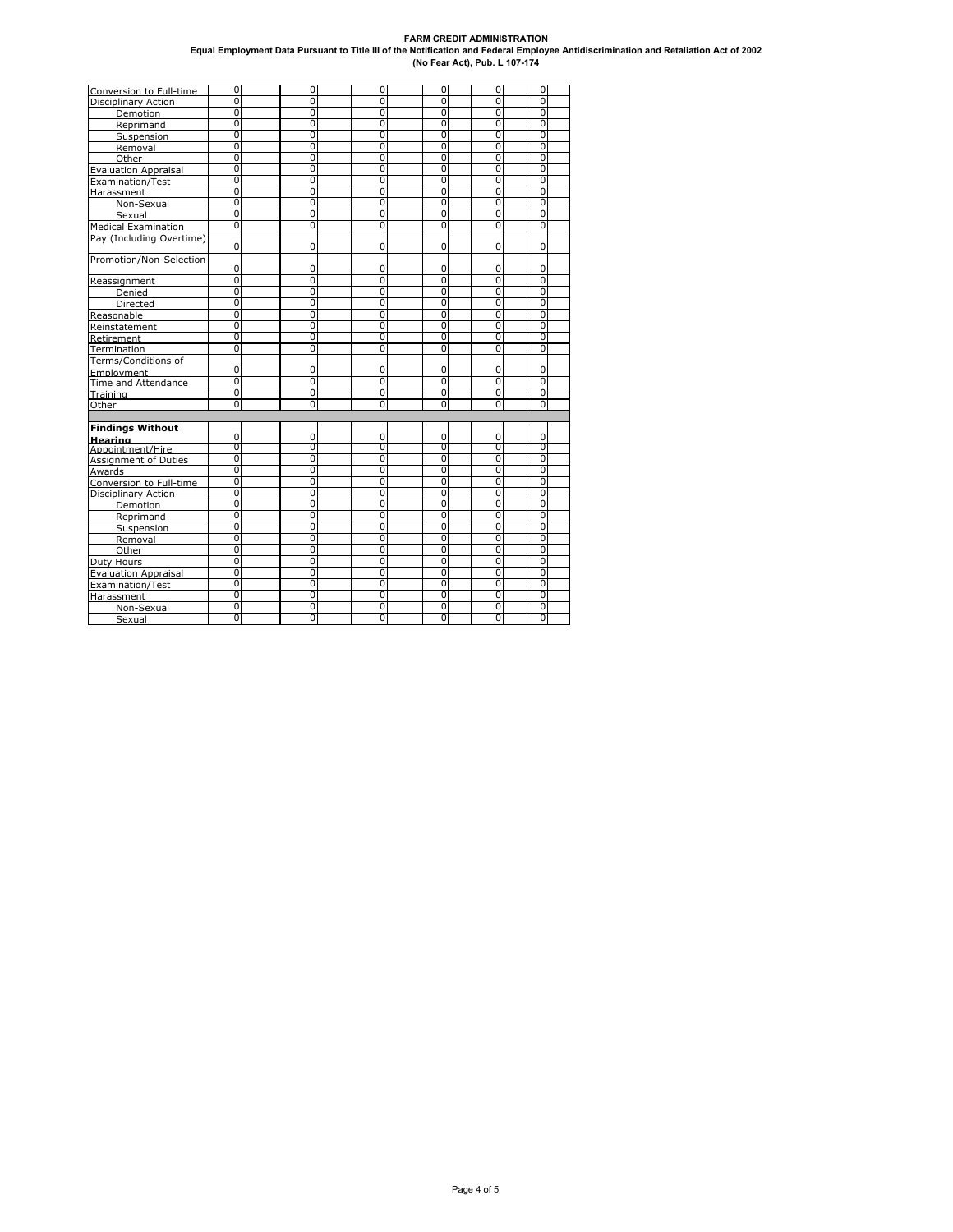### **FARM CREDIT ADMINISTRATION Equal Employment Data Pursuant to Title III of the Notification and Federal Employee Antidiscrimination and Retaliation Act of 2002**

|  | (No Fear Act), Pub. L 107-174 |  |  |
|--|-------------------------------|--|--|
|--|-------------------------------|--|--|

| Conversion to Full-time                             | 0              | 0              | 0              | 0              | 0              | 0              |  |
|-----------------------------------------------------|----------------|----------------|----------------|----------------|----------------|----------------|--|
| Disciplinary Action                                 | 0              | $\overline{0}$ | $\overline{0}$ | 0              | $\overline{0}$ | $\overline{0}$ |  |
| Demotion                                            | 0              | 0              | $\Omega$       | 0              | $\overline{0}$ | $\overline{0}$ |  |
| Reprimand                                           | $\overline{0}$ | $\overline{0}$ | $\overline{0}$ | $\overline{0}$ | 0              | 0              |  |
| Suspension                                          | $\overline{0}$ | 0              | 0              | $\overline{0}$ | $\overline{0}$ | $\overline{0}$ |  |
| Removal                                             | 0              | 0              | 0              | 0              | $\Omega$       | 0              |  |
| Other                                               | 0              | 0              | 0              | 0              | 0              | 0              |  |
|                                                     | $\overline{0}$ | $\overline{0}$ | $\overline{0}$ | $\overline{0}$ | $\overline{0}$ | 0              |  |
| Evaluation Appraisal<br>Examination/Test            | $\overline{0}$ | $\overline{0}$ | $\Omega$       | $\overline{0}$ | $\overline{0}$ | 0              |  |
| Harassment                                          | 0              | 0              | 0              | $\overline{0}$ | $\overline{0}$ | $\overline{0}$ |  |
| Non-Sexual                                          | 0              | 0              | 0              | 0              | 0              | 0              |  |
| Sexual                                              | 0              | 0              | 0              | 0              | 0              | 0              |  |
| <b>Medical Examination</b>                          | $\overline{0}$ | $\overline{0}$ | $\overline{0}$ | 0              | 0              | 0              |  |
| Pay (Including Overtime)                            | $\mathbf 0$    | 0              | 0              | $\Omega$       | 0              | 0              |  |
| Promotion/Non-Selection                             |                |                |                |                |                |                |  |
|                                                     | 0              | 0              | 0              | $\Omega$       | 0              | 0              |  |
| Reassignment                                        | $\overline{0}$ | 0              | $\overline{0}$ | $\overline{0}$ | 0              | 0              |  |
| Denied                                              | $\overline{0}$ | $\overline{0}$ | $\overline{0}$ | $\overline{0}$ | $\overline{0}$ | $\overline{0}$ |  |
| Directed                                            | 0              | 0              | 0              | 0              | 0              | 0              |  |
| Reasonable                                          | 0              | 0              | 0              | 0              | 0              | 0              |  |
| Reinstatement                                       | 0              | $\overline{0}$ | 0              | $\overline{0}$ | $\overline{0}$ | 0              |  |
| Retirement                                          | $\overline{0}$ | 0              | $\overline{0}$ | 0              | 0              | 0              |  |
| Termination                                         | 0              | 0              | 0              | 0              | 0              | 0              |  |
| Terms/Conditions of                                 |                |                |                |                |                |                |  |
|                                                     | 0              | 0              | 0              | 0              | 0              | 0              |  |
| Employment<br>Time and Attendance                   | 0              | 0              | $\overline{0}$ | 0              | $\overline{0}$ | 0              |  |
| Training                                            | $\overline{0}$ | $\overline{0}$ | $\overline{0}$ | $\overline{0}$ | $\overline{0}$ | $\overline{0}$ |  |
| Other                                               | 0              | 0              | $\overline{0}$ | 0              | 0              | 0              |  |
|                                                     |                |                |                |                |                |                |  |
| <b>Findings Without</b>                             |                |                |                |                |                |                |  |
| Hearing<br>Appointment/Hire<br>Assignment of Duties | 0              | 0              | 0              | 0              | 0              | 0              |  |
|                                                     | 0              | 0              | 0              | 0              | 0              | 0              |  |
|                                                     | $\overline{0}$ | $\overline{0}$ | $\overline{0}$ | $\overline{0}$ | $\overline{0}$ | $\overline{0}$ |  |
| Awards                                              | 0              | $\overline{0}$ | $\overline{0}$ | 0              | 0              | 0              |  |
| Conversion to Full-time                             | 0              | $\overline{0}$ | 0              | $\overline{0}$ | $\overline{0}$ | 0              |  |
| <b>Disciplinary Action</b>                          | $\overline{0}$ | $\overline{0}$ | $\overline{0}$ | $\overline{0}$ | $\overline{0}$ | $\overline{0}$ |  |
| Demotion                                            | 0              | 0              | 0              | 0              | $\overline{0}$ | 0              |  |
| Reprimand                                           | 0              | $\overline{0}$ | $\overline{0}$ | $\overline{0}$ | $\overline{0}$ | 0              |  |
| Suspension                                          | $\Omega$       | 0              | $\Omega$       | 0              | 0              | 0              |  |
| Removal                                             | $\overline{0}$ | 0              | $\overline{0}$ | $\overline{0}$ | $\overline{0}$ | 0              |  |
| Other                                               | $\overline{0}$ | 0              | $\overline{0}$ | 0              | $\overline{0}$ | 0              |  |
| <b>Duty Hours</b>                                   | 0              | $\overline{0}$ | 0              | 0              | 0              | $\overline{0}$ |  |
| <b>Evaluation Appraisal</b>                         | $\overline{0}$ | 0              | $\Omega$       | $\overline{0}$ | $\overline{0}$ | $\overline{0}$ |  |
| Examination/Test                                    | 0              | 0              | 0              | 0              | $\overline{0}$ | 0              |  |
| Harassment                                          | $\overline{0}$ | $\overline{0}$ | $\overline{0}$ | 0              | $\overline{0}$ | 0              |  |
| Non-Sexual                                          | 0              | 0              | 0              | 0              | $\overline{0}$ | 0              |  |
| Sexual                                              | $\overline{0}$ | $\overline{0}$ | $\overline{0}$ | $\overline{0}$ | $\overline{0}$ | $\overline{0}$ |  |